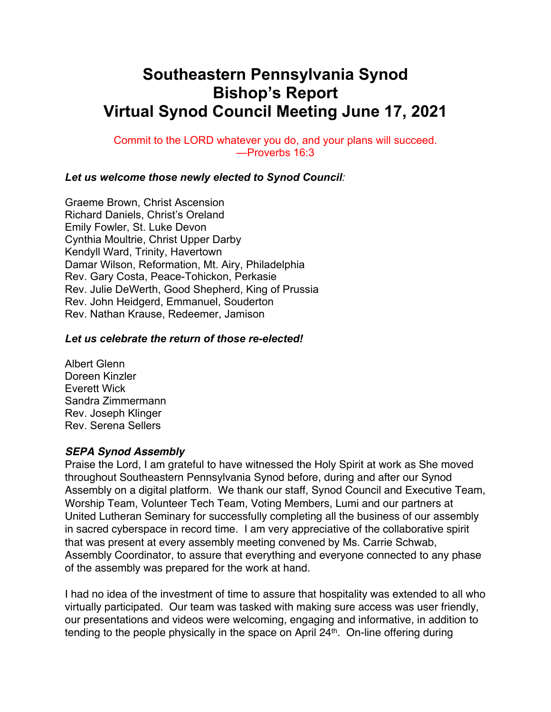# **Southeastern Pennsylvania Synod Bishop's Report Virtual Synod Council Meeting June 17, 2021**

Commit to the LORD whatever you do, and your plans will succeed. —Proverbs 16:3

### *Let us welcome those newly elected to Synod Council:*

Graeme Brown, Christ Ascension Richard Daniels, Christ's Oreland Emily Fowler, St. Luke Devon Cynthia Moultrie, Christ Upper Darby Kendyll Ward, Trinity, Havertown Damar Wilson, Reformation, Mt. Airy, Philadelphia Rev. Gary Costa, Peace-Tohickon, Perkasie Rev. Julie DeWerth, Good Shepherd, King of Prussia Rev. John Heidgerd, Emmanuel, Souderton Rev. Nathan Krause, Redeemer, Jamison

#### *Let us celebrate the return of those re-elected!*

Albert Glenn Doreen Kinzler Everett Wick Sandra Zimmermann Rev. Joseph Klinger Rev. Serena Sellers

#### *SEPA Synod Assembly*

Praise the Lord, I am grateful to have witnessed the Holy Spirit at work as She moved throughout Southeastern Pennsylvania Synod before, during and after our Synod Assembly on a digital platform. We thank our staff, Synod Council and Executive Team, Worship Team, Volunteer Tech Team, Voting Members, Lumi and our partners at United Lutheran Seminary for successfully completing all the business of our assembly in sacred cyberspace in record time. I am very appreciative of the collaborative spirit that was present at every assembly meeting convened by Ms. Carrie Schwab, Assembly Coordinator, to assure that everything and everyone connected to any phase of the assembly was prepared for the work at hand.

I had no idea of the investment of time to assure that hospitality was extended to all who virtually participated. Our team was tasked with making sure access was user friendly, our presentations and videos were welcoming, engaging and informative, in addition to tending to the people physically in the space on April 24<sup>th</sup>. On-line offering during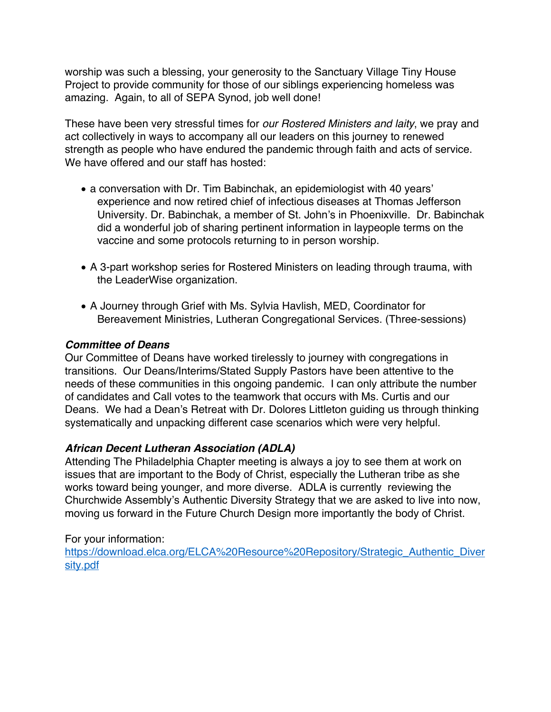worship was such a blessing, your generosity to the Sanctuary Village Tiny House Project to provide community for those of our siblings experiencing homeless was amazing. Again, to all of SEPA Synod, job well done!

These have been very stressful times for *our Rostered Ministers and laity*, we pray and act collectively in ways to accompany all our leaders on this journey to renewed strength as people who have endured the pandemic through faith and acts of service. We have offered and our staff has hosted:

- a conversation with Dr. Tim Babinchak, an epidemiologist with 40 years' experience and now retired chief of infectious diseases at Thomas Jefferson University. Dr. Babinchak, a member of St. John's in Phoenixville. Dr. Babinchak did a wonderful job of sharing pertinent information in laypeople terms on the vaccine and some protocols returning to in person worship.
- A 3-part workshop series for Rostered Ministers on leading through trauma, with the LeaderWise organization.
- A Journey through Grief with Ms. Sylvia Havlish, MED, Coordinator for Bereavement Ministries, Lutheran Congregational Services. (Three-sessions)

# *Committee of Deans*

Our Committee of Deans have worked tirelessly to journey with congregations in transitions. Our Deans/Interims/Stated Supply Pastors have been attentive to the needs of these communities in this ongoing pandemic. I can only attribute the number of candidates and Call votes to the teamwork that occurs with Ms. Curtis and our Deans. We had a Dean's Retreat with Dr. Dolores Littleton guiding us through thinking systematically and unpacking different case scenarios which were very helpful.

# *African Decent Lutheran Association (ADLA)*

Attending The Philadelphia Chapter meeting is always a joy to see them at work on issues that are important to the Body of Christ, especially the Lutheran tribe as she works toward being younger, and more diverse. ADLA is currently reviewing the Churchwide Assembly's Authentic Diversity Strategy that we are asked to live into now, moving us forward in the Future Church Design more importantly the body of Christ.

## For your information:

https://download.elca.org/ELCA%20Resource%20Repository/Strategic\_Authentic\_Diver sity.pdf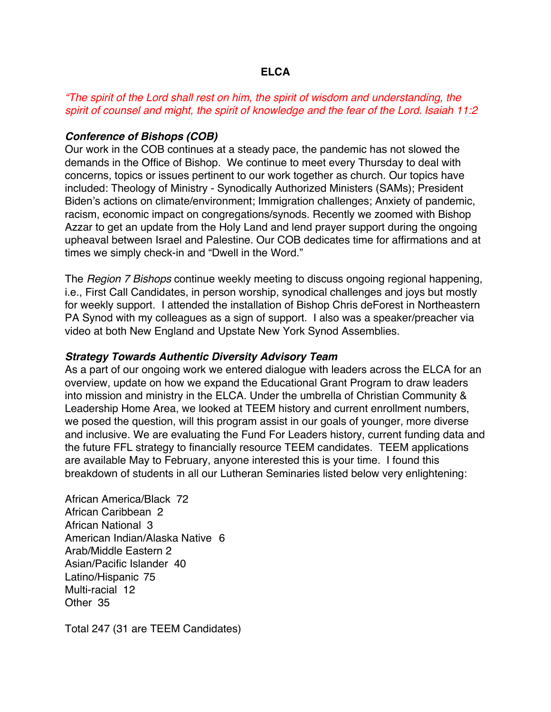## **ELCA**

# *"The spirit of the Lord shall rest on him, the spirit of wisdom and understanding, the spirit of counsel and might, the spirit of knowledge and the fear of the Lord. Isaiah 11:2*

## *Conference of Bishops (COB)*

Our work in the COB continues at a steady pace, the pandemic has not slowed the demands in the Office of Bishop. We continue to meet every Thursday to deal with concerns, topics or issues pertinent to our work together as church. Our topics have included: Theology of Ministry - Synodically Authorized Ministers (SAMs); President Biden's actions on climate/environment; Immigration challenges; Anxiety of pandemic, racism, economic impact on congregations/synods. Recently we zoomed with Bishop Azzar to get an update from the Holy Land and lend prayer support during the ongoing upheaval between Israel and Palestine. Our COB dedicates time for affirmations and at times we simply check-in and "Dwell in the Word."

The *Region 7 Bishops* continue weekly meeting to discuss ongoing regional happening, i.e., First Call Candidates, in person worship, synodical challenges and joys but mostly for weekly support. I attended the installation of Bishop Chris deForest in Northeastern PA Synod with my colleagues as a sign of support. I also was a speaker/preacher via video at both New England and Upstate New York Synod Assemblies.

#### *Strategy Towards Authentic Diversity Advisory Team*

As a part of our ongoing work we entered dialogue with leaders across the ELCA for an overview, update on how we expand the Educational Grant Program to draw leaders into mission and ministry in the ELCA. Under the umbrella of Christian Community & Leadership Home Area, we looked at TEEM history and current enrollment numbers, we posed the question, will this program assist in our goals of younger, more diverse and inclusive. We are evaluating the Fund For Leaders history, current funding data and the future FFL strategy to financially resource TEEM candidates. TEEM applications are available May to February, anyone interested this is your time. I found this breakdown of students in all our Lutheran Seminaries listed below very enlightening:

African America/Black 72 African Caribbean 2 African National 3 American Indian/Alaska Native 6 Arab/Middle Eastern 2 Asian/Pacific Islander 40 Latino/Hispanic 75 Multi-racial 12 Other 35

Total 247 (31 are TEEM Candidates)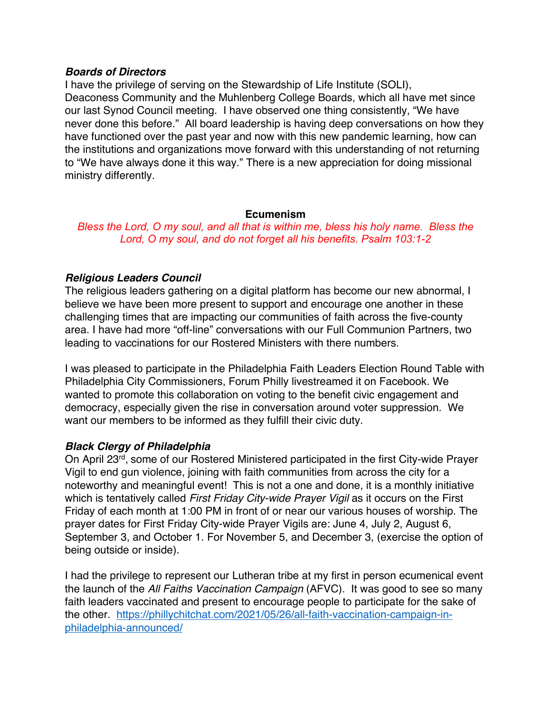## *Boards of Directors*

I have the privilege of serving on the Stewardship of Life Institute (SOLI), Deaconess Community and the Muhlenberg College Boards, which all have met since our last Synod Council meeting. I have observed one thing consistently, "We have never done this before." All board leadership is having deep conversations on how they have functioned over the past year and now with this new pandemic learning, how can the institutions and organizations move forward with this understanding of not returning to "We have always done it this way." There is a new appreciation for doing missional ministry differently.

### **Ecumenism**

*Bless the Lord, O my soul, and all that is within me, bless his holy name. Bless the Lord, O my soul, and do not forget all his benefits. Psalm 103:1-2*

# *Religious Leaders Council*

The religious leaders gathering on a digital platform has become our new abnormal, I believe we have been more present to support and encourage one another in these challenging times that are impacting our communities of faith across the five-county area. I have had more "off-line" conversations with our Full Communion Partners, two leading to vaccinations for our Rostered Ministers with there numbers.

I was pleased to participate in the Philadelphia Faith Leaders Election Round Table with Philadelphia City Commissioners, Forum Philly livestreamed it on Facebook. We wanted to promote this collaboration on voting to the benefit civic engagement and democracy, especially given the rise in conversation around voter suppression. We want our members to be informed as they fulfill their civic duty.

## *Black Clergy of Philadelphia*

On April 23rd, some of our Rostered Ministered participated in the first City-wide Prayer Vigil to end gun violence, joining with faith communities from across the city for a noteworthy and meaningful event! This is not a one and done, it is a monthly initiative which is tentatively called *First Friday City-wide Prayer Vigil* as it occurs on the First Friday of each month at 1:00 PM in front of or near our various houses of worship. The prayer dates for First Friday City-wide Prayer Vigils are: June 4, July 2, August 6, September 3, and October 1. For November 5, and December 3, (exercise the option of being outside or inside).

I had the privilege to represent our Lutheran tribe at my first in person ecumenical event the launch of the *All Faiths Vaccination Campaign* (AFVC). It was good to see so many faith leaders vaccinated and present to encourage people to participate for the sake of the other. https://phillychitchat.com/2021/05/26/all-faith-vaccination-campaign-inphiladelphia-announced/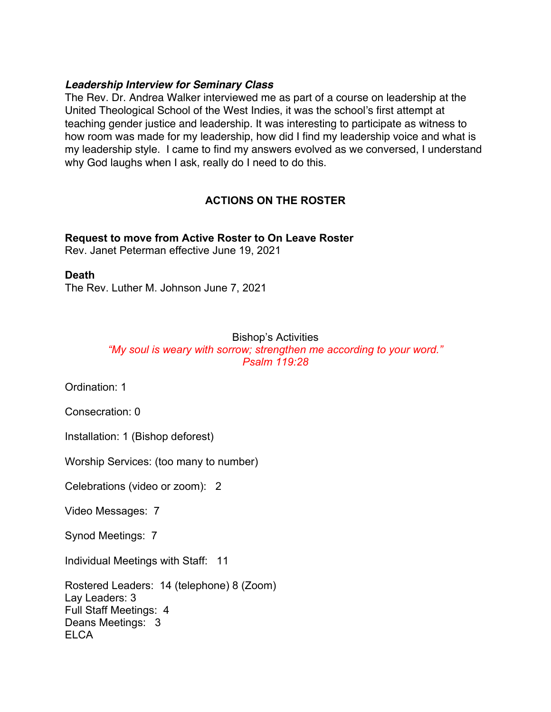## *Leadership Interview for Seminary Class*

The Rev. Dr. Andrea Walker interviewed me as part of a course on leadership at the United Theological School of the West Indies, it was the school's first attempt at teaching gender justice and leadership. It was interesting to participate as witness to how room was made for my leadership, how did I find my leadership voice and what is my leadership style. I came to find my answers evolved as we conversed, I understand why God laughs when I ask, really do I need to do this.

# **ACTIONS ON THE ROSTER**

# **Request to move from Active Roster to On Leave Roster**

Rev. Janet Peterman effective June 19, 2021

## **Death**

The Rev. Luther M. Johnson June 7, 2021

# Bishop's Activities

*"My soul is weary with sorrow; strengthen me according to your word." Psalm 119:28*

Ordination: 1

Consecration: 0

Installation: 1 (Bishop deforest)

Worship Services: (too many to number)

Celebrations (video or zoom): 2

Video Messages: 7

Synod Meetings: 7

Individual Meetings with Staff: 11

Rostered Leaders: 14 (telephone) 8 (Zoom) Lay Leaders: 3 Full Staff Meetings: 4 Deans Meetings: 3 **ELCA**